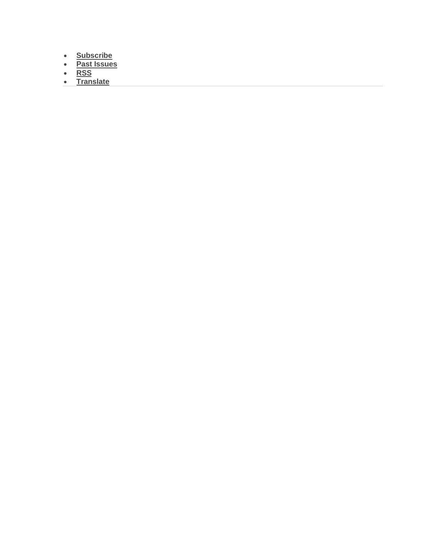- **[Subscribe](http://eepurl.com/b3z6Lr)**
- **[Past Issues](https://us5.campaign-archive.com/home/?u=47350f02ea439cb6e9ad909eb&id=4e96af5373)**
- **[RSS](https://us5.campaign-archive.com/feed?u=47350f02ea439cb6e9ad909eb&id=4e96af5373)**
- **[Translate](javascript:;)**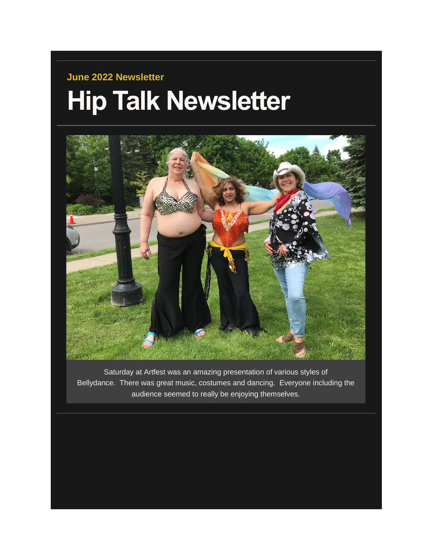## **June 2022 Newsletter Hip Talk Newsletter**



Saturday at Artfest was an amazing presentation of various styles of Bellydance. There was great music, costumes and dancing. Everyone including the audience seemed to really be enjoying themselves.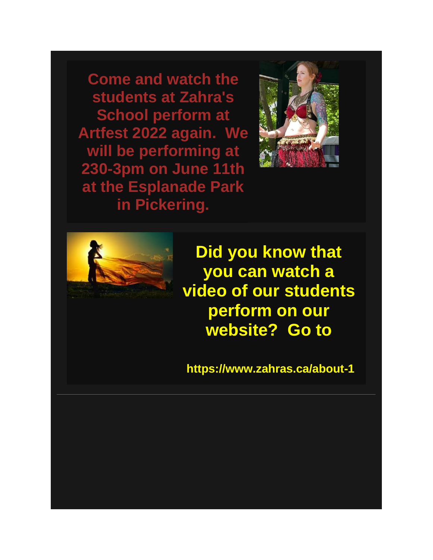**Come and watch the students at Zahra's School perform at Artfest 2022 again. We will be performing at 230-3pm on June 11th at the Esplanade Park in Pickering.**





**Did you know that you can watch a video of our students perform on our website? Go to**

**https://www.zahras.ca/about-1**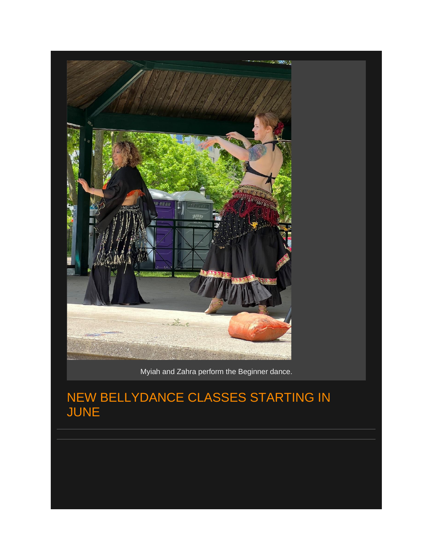

Myiah and Zahra perform the Beginner dance.

## NEW BELLYDANCE CLASSES STARTING IN JUNE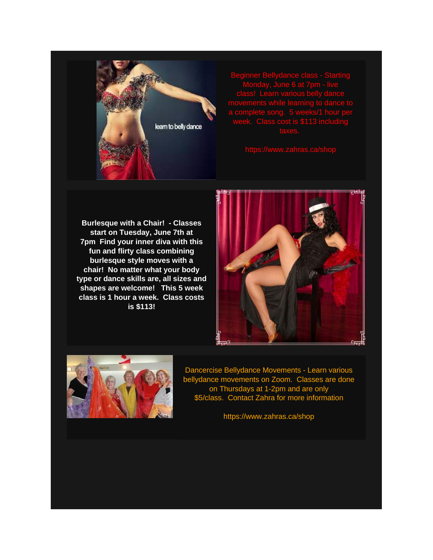

Beginner Bellydance class - Starting Monday, June 6 at 7pm - live a complete song. 5 weeks/1 hour per

**Burlesque with a Chair! - Classes start on Tuesday, June 7th at 7pm Find your inner diva with this fun and flirty class combining burlesque style moves with a chair! No matter what your body type or dance skills are, all sizes and shapes are welcome! This 5 week class is 1 hour a week. Class costs is \$113!**





Dancercise Bellydance Movements - Learn various bellydance movements on Zoom. Classes are done on Thursdays at 1-2pm and are only \$5/class. Contact Zahra for more information

https://www.zahras.ca/shop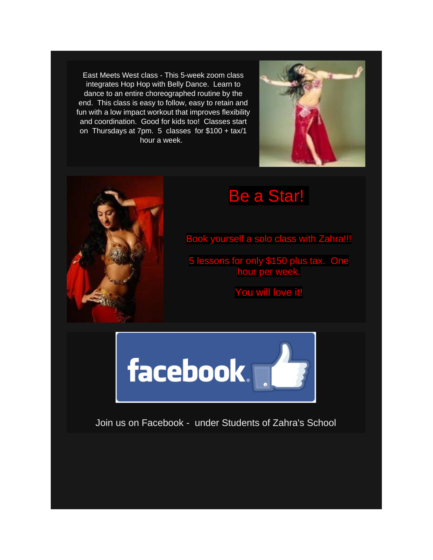East Meets West class - This 5-week zoom class integrates Hop Hop with Belly Dance. Learn to dance to an entire choreographed routine by the end. This class is easy to follow, easy to retain and fun with a low impact workout that improves flexibility and coordination. Good for kids too! Classes start on Thursdays at 7pm. 5 classes for \$100 + tax/1 hour a week.





## Be a Star!

Book yourself a solo class with Zahra!!!

5 lessons for only \$150 plus tax. One hour per week.

You will love it!



Join us on Facebook - under Students of Zahra's School